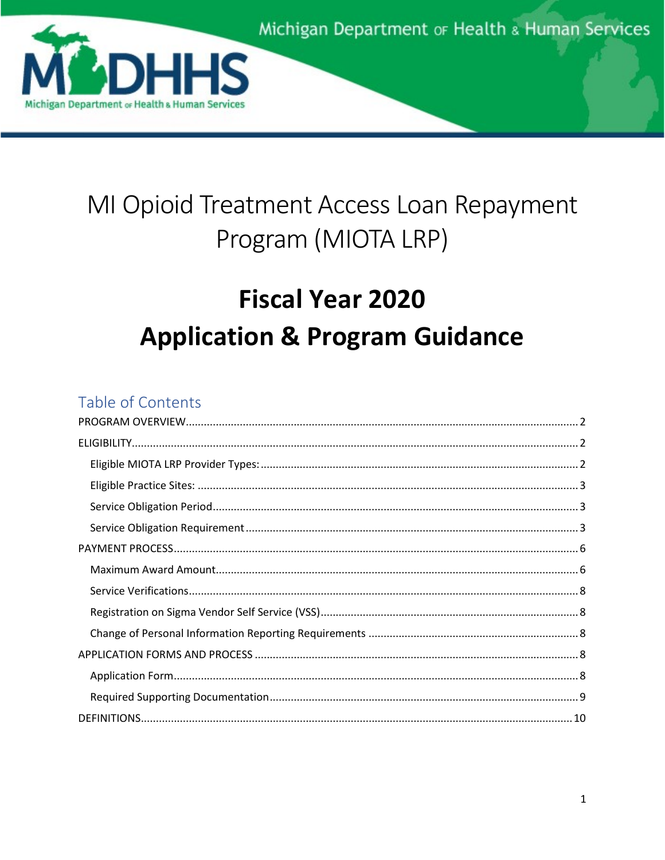

# MI Opioid Treatment Access Loan Repayment Program (MIOTA LRP)

# **Fiscal Year 2020 Application & Program Guidance**

# Table of Contents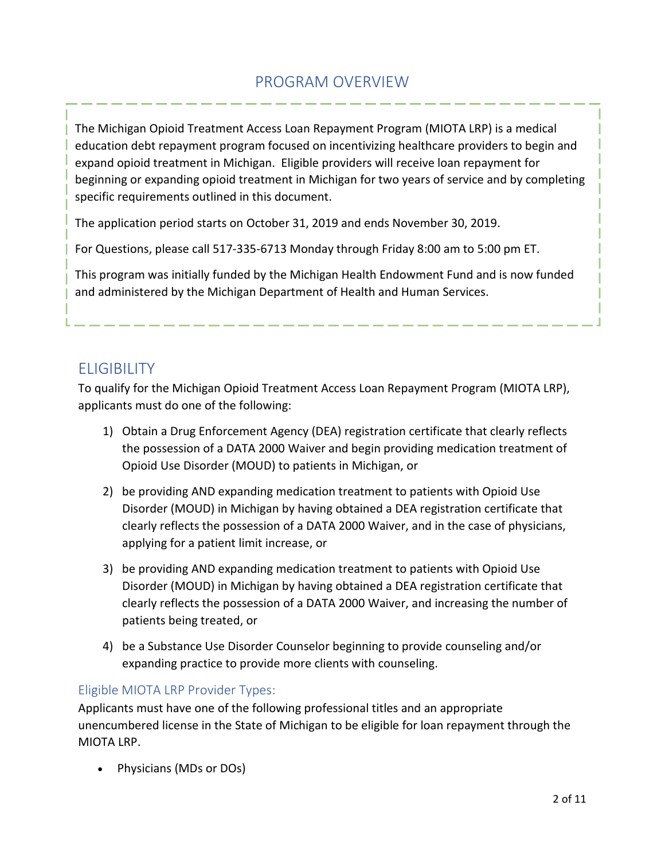# PROGRAM OVERVIEW

<span id="page-1-0"></span>The Michigan Opioid Treatment Access Loan Repayment Program (MIOTA LRP) is a medical education debt repayment program focused on incentivizing healthcare providers to begin and expand opioid treatment in Michigan. Eligible providers will receive loan repayment for beginning or expanding opioid treatment in Michigan for two years of service and by completing specific requirements outlined in this document.

The application period starts on October 31, 2019 and ends November 30, 2019.

For Questions, please call 517-335-6713 Monday through Friday 8:00 am to 5:00 pm ET.

This program was initially funded by the Michigan Health Endowment Fund and is now funded and administered by the Michigan Department of Health and Human Services.

# <span id="page-1-1"></span>**ELIGIBILITY**

To qualify for the Michigan Opioid Treatment Access Loan Repayment Program (MIOTA LRP), applicants must do one of the following:

- 1) Obtain a Drug Enforcement Agency (DEA) registration certificate that clearly reflects the possession of a DATA 2000 Waiver and begin providing medication treatment of Opioid Use Disorder (MOUD) to patients in Michigan, or
- 2) be providing AND expanding medication treatment to patients with Opioid Use Disorder (MOUD) in Michigan by having obtained a DEA registration certificate that clearly reflects the possession of a DATA 2000 Waiver, and in the case of physicians, applying for a patient limit increase, or
- 3) be providing AND expanding medication treatment to patients with Opioid Use Disorder (MOUD) in Michigan by having obtained a DEA registration certificate that clearly reflects the possession of a DATA 2000 Waiver, and increasing the number of patients being treated, or
- 4) be a Substance Use Disorder Counselor beginning to provide counseling and/or expanding practice to provide more clients with counseling.

## <span id="page-1-2"></span>Eligible MIOTA LRP Provider Types:

Applicants must have one of the following professional titles and an appropriate unencumbered license in the State of Michigan to be eligible for loan repayment through the MIOTA LRP.

• Physicians (MDs or DOs)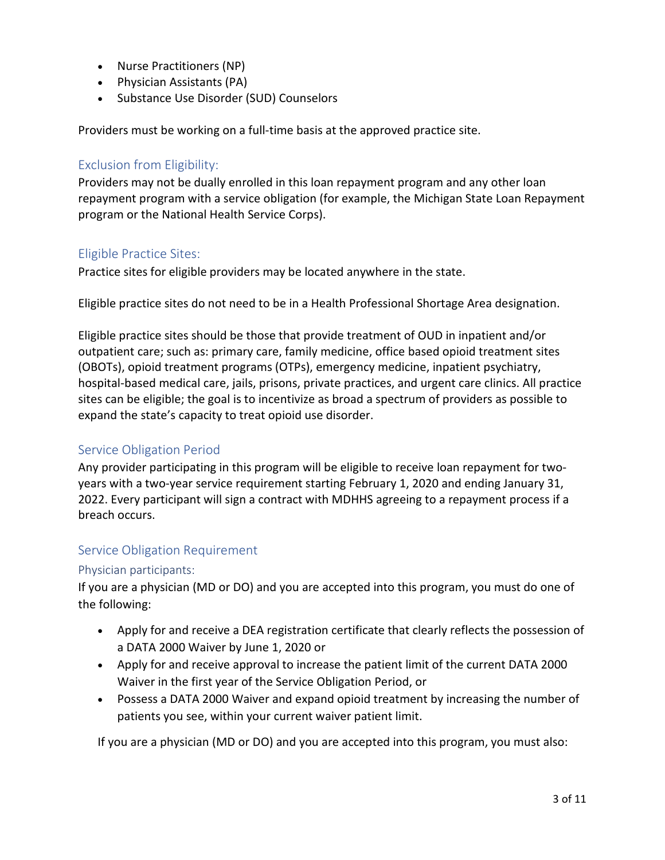- Nurse Practitioners (NP)
- Physician Assistants (PA)
- Substance Use Disorder (SUD) Counselors

Providers must be working on a full-time basis at the approved practice site.

## <span id="page-2-0"></span>Exclusion from Eligibility:

Providers may not be dually enrolled in this loan repayment program and any other loan repayment program with a service obligation (for example, the Michigan State Loan Repayment program or the National Health Service Corps).

# Eligible Practice Sites:

Practice sites for eligible providers may be located anywhere in the state.

Eligible practice sites do not need to be in a Health Professional Shortage Area designation.

Eligible practice sites should be those that provide treatment of OUD in inpatient and/or outpatient care; such as: primary care, family medicine, office based opioid treatment sites (OBOTs), opioid treatment programs (OTPs), emergency medicine, inpatient psychiatry, hospital-based medical care, jails, prisons, private practices, and urgent care clinics. All practice sites can be eligible; the goal is to incentivize as broad a spectrum of providers as possible to expand the state's capacity to treat opioid use disorder.

## <span id="page-2-1"></span>Service Obligation Period

Any provider participating in this program will be eligible to receive loan repayment for twoyears with a two-year service requirement starting February 1, 2020 and ending January 31, 2022. Every participant will sign a contract with MDHHS agreeing to a repayment process if a breach occurs.

## <span id="page-2-2"></span>Service Obligation Requirement

#### Physician participants:

If you are a physician (MD or DO) and you are accepted into this program, you must do one of the following:

- Apply for and receive a DEA registration certificate that clearly reflects the possession of a DATA 2000 Waiver by June 1, 2020 or
- Apply for and receive approval to increase the patient limit of the current DATA 2000 Waiver in the first year of the Service Obligation Period, or
- Possess a DATA 2000 Waiver and expand opioid treatment by increasing the number of patients you see, within your current waiver patient limit.

If you are a physician (MD or DO) and you are accepted into this program, you must also: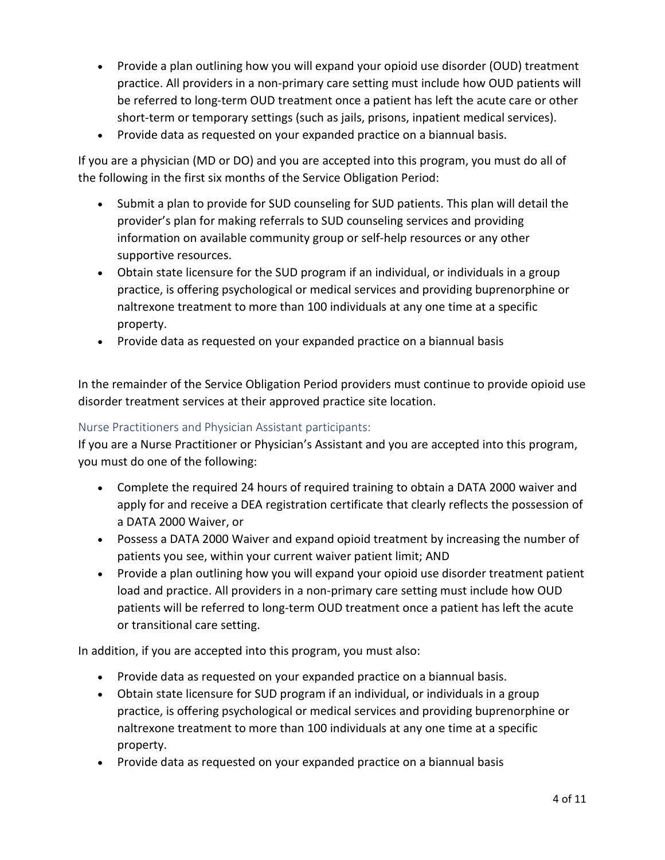- Provide a plan outlining how you will expand your opioid use disorder (OUD) treatment practice. All providers in a non-primary care setting must include how OUD patients will be referred to long-term OUD treatment once a patient has left the acute care or other short-term or temporary settings (such as jails, prisons, inpatient medical services).
- Provide data as requested on your expanded practice on a biannual basis.

If you are a physician (MD or DO) and you are accepted into this program, you must do all of the following in the first six months of the Service Obligation Period:

- Submit a plan to provide for SUD counseling for SUD patients. This plan will detail the provider's plan for making referrals to SUD counseling services and providing information on available community group or self-help resources or any other supportive resources.
- Obtain state licensure for the SUD program if an individual, or individuals in a group practice, is offering psychological or medical services and providing buprenorphine or naltrexone treatment to more than 100 individuals at any one time at a specific property.
- Provide data as requested on your expanded practice on a biannual basis

In the remainder of the Service Obligation Period providers must continue to provide opioid use disorder treatment services at their approved practice site location.

### Nurse Practitioners and Physician Assistant participants:

If you are a Nurse Practitioner or Physician's Assistant and you are accepted into this program, you must do one of the following:

- Complete the required 24 hours of required training to obtain a DATA 2000 waiver and apply for and receive a DEA registration certificate that clearly reflects the possession of a DATA 2000 Waiver, or
- Possess a DATA 2000 Waiver and expand opioid treatment by increasing the number of patients you see, within your current waiver patient limit; AND
- Provide a plan outlining how you will expand your opioid use disorder treatment patient load and practice. All providers in a non-primary care setting must include how OUD patients will be referred to long-term OUD treatment once a patient has left the acute or transitional care setting.

In addition, if you are accepted into this program, you must also:

- Provide data as requested on your expanded practice on a biannual basis.
- Obtain state licensure for SUD program if an individual, or individuals in a group practice, is offering psychological or medical services and providing buprenorphine or naltrexone treatment to more than 100 individuals at any one time at a specific property.
- Provide data as requested on your expanded practice on a biannual basis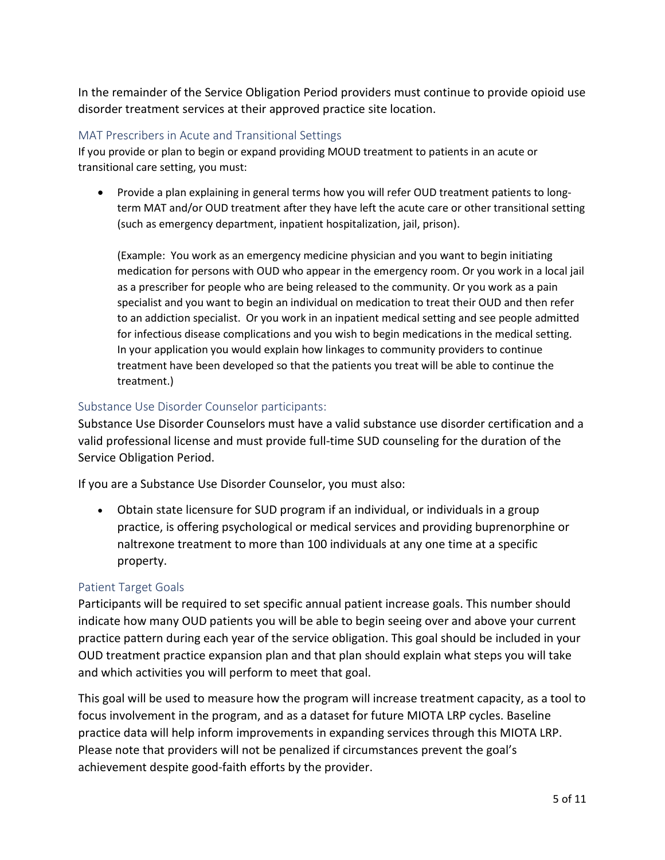In the remainder of the Service Obligation Period providers must continue to provide opioid use disorder treatment services at their approved practice site location.

#### MAT Prescribers in Acute and Transitional Settings

If you provide or plan to begin or expand providing MOUD treatment to patients in an acute or transitional care setting, you must:

• Provide a plan explaining in general terms how you will refer OUD treatment patients to longterm MAT and/or OUD treatment after they have left the acute care or other transitional setting (such as emergency department, inpatient hospitalization, jail, prison).

(Example: You work as an emergency medicine physician and you want to begin initiating medication for persons with OUD who appear in the emergency room. Or you work in a local jail as a prescriber for people who are being released to the community. Or you work as a pain specialist and you want to begin an individual on medication to treat their OUD and then refer to an addiction specialist. Or you work in an inpatient medical setting and see people admitted for infectious disease complications and you wish to begin medications in the medical setting. In your application you would explain how linkages to community providers to continue treatment have been developed so that the patients you treat will be able to continue the treatment.)

## Substance Use Disorder Counselor participants:

Substance Use Disorder Counselors must have a valid substance use disorder certification and a valid professional license and must provide full-time SUD counseling for the duration of the Service Obligation Period.

If you are a Substance Use Disorder Counselor, you must also:

• Obtain state licensure for SUD program if an individual, or individuals in a group practice, is offering psychological or medical services and providing buprenorphine or naltrexone treatment to more than 100 individuals at any one time at a specific property.

#### Patient Target Goals

Participants will be required to set specific annual patient increase goals. This number should indicate how many OUD patients you will be able to begin seeing over and above your current practice pattern during each year of the service obligation. This goal should be included in your OUD treatment practice expansion plan and that plan should explain what steps you will take and which activities you will perform to meet that goal.

This goal will be used to measure how the program will increase treatment capacity, as a tool to focus involvement in the program, and as a dataset for future MIOTA LRP cycles. Baseline practice data will help inform improvements in expanding services through this MIOTA LRP. Please note that providers will not be penalized if circumstances prevent the goal's achievement despite good-faith efforts by the provider.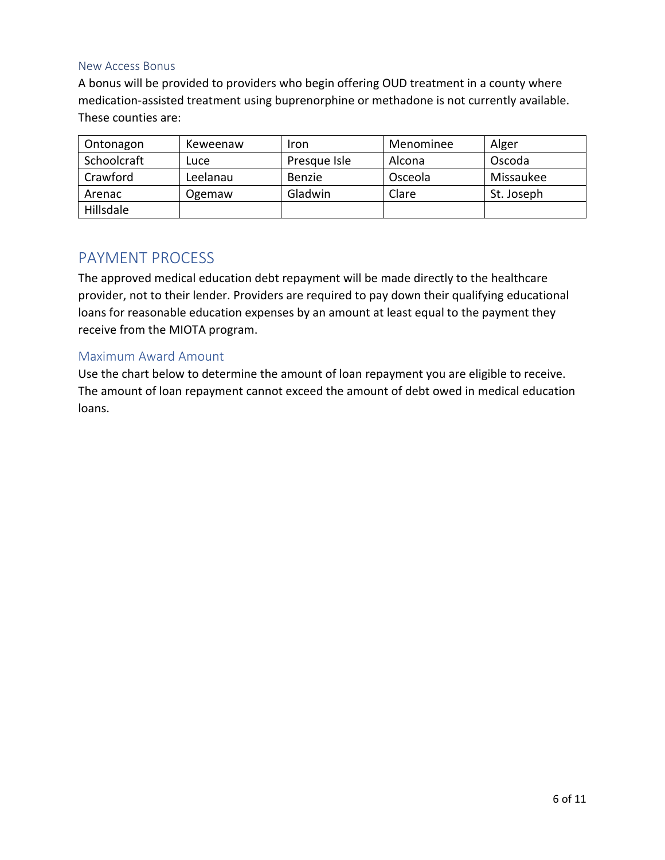#### New Access Bonus

A bonus will be provided to providers who begin offering OUD treatment in a county where medication-assisted treatment using buprenorphine or methadone is not currently available. These counties are:

| Ontonagon   | Keweenaw | Iron         | Menominee | Alger      |
|-------------|----------|--------------|-----------|------------|
| Schoolcraft | Lucel    | Presque Isle | Alcona    | Oscoda     |
| Crawford    | Leelanau | Benzie       | Osceola   | Missaukee  |
| Arenac      | Ogemaw   | Gladwin      | Clare     | St. Joseph |
| Hillsdale   |          |              |           |            |

# <span id="page-5-0"></span>PAYMENT PROCESS

The approved medical education debt repayment will be made directly to the healthcare provider, not to their lender. Providers are required to pay down their qualifying educational loans for reasonable education expenses by an amount at least equal to the payment they receive from the MIOTA program.

#### <span id="page-5-1"></span>Maximum Award Amount

Use the chart below to determine the amount of loan repayment you are eligible to receive. The amount of loan repayment cannot exceed the amount of debt owed in medical education loans.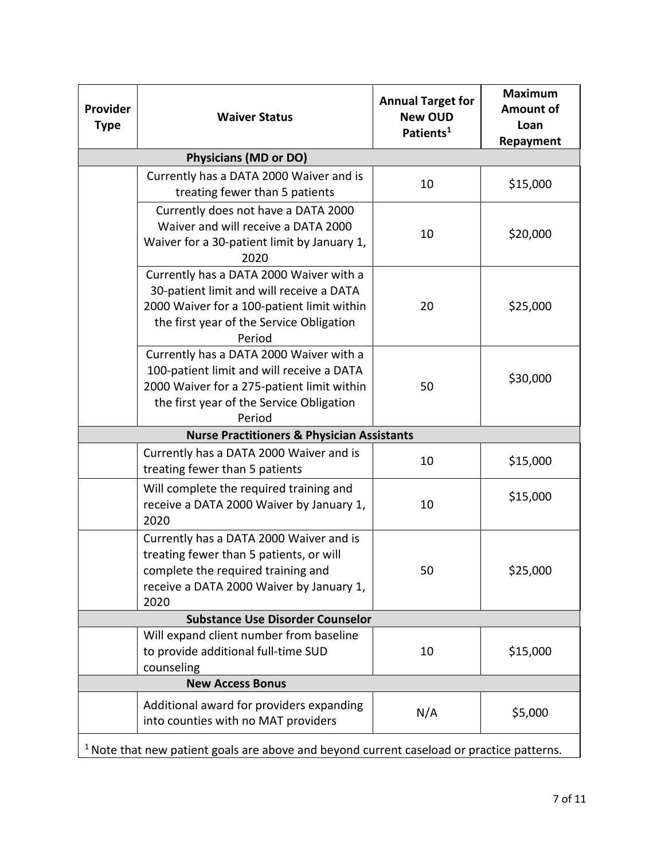| Provider<br><b>Type</b>                                                                     | <b>Waiver Status</b>                                                                                                                                                                     | <b>Annual Target for</b><br><b>New OUD</b><br>Patients <sup>1</sup> | <b>Maximum</b><br><b>Amount of</b><br>Loan<br><b>Repayment</b> |  |  |  |
|---------------------------------------------------------------------------------------------|------------------------------------------------------------------------------------------------------------------------------------------------------------------------------------------|---------------------------------------------------------------------|----------------------------------------------------------------|--|--|--|
|                                                                                             | <b>Physicians (MD or DO)</b>                                                                                                                                                             |                                                                     |                                                                |  |  |  |
|                                                                                             | Currently has a DATA 2000 Waiver and is<br>treating fewer than 5 patients                                                                                                                | 10                                                                  | \$15,000                                                       |  |  |  |
|                                                                                             | Currently does not have a DATA 2000<br>Waiver and will receive a DATA 2000<br>Waiver for a 30-patient limit by January 1,<br>2020                                                        | 10                                                                  | \$20,000                                                       |  |  |  |
|                                                                                             | Currently has a DATA 2000 Waiver with a<br>30-patient limit and will receive a DATA<br>2000 Waiver for a 100-patient limit within<br>the first year of the Service Obligation<br>Period  | 20                                                                  | \$25,000                                                       |  |  |  |
|                                                                                             | Currently has a DATA 2000 Waiver with a<br>100-patient limit and will receive a DATA<br>2000 Waiver for a 275-patient limit within<br>the first year of the Service Obligation<br>Period | 50                                                                  | \$30,000                                                       |  |  |  |
| <b>Nurse Practitioners &amp; Physician Assistants</b>                                       |                                                                                                                                                                                          |                                                                     |                                                                |  |  |  |
|                                                                                             | Currently has a DATA 2000 Waiver and is<br>treating fewer than 5 patients                                                                                                                | 10                                                                  | \$15,000                                                       |  |  |  |
|                                                                                             | Will complete the required training and<br>receive a DATA 2000 Waiver by January 1,<br>2020                                                                                              | 10                                                                  | \$15,000                                                       |  |  |  |
|                                                                                             | Currently has a DATA 2000 Waiver and is<br>treating fewer than 5 patients, or will<br>complete the required training and<br>receive a DATA 2000 Waiver by January 1,<br>2020             | 50                                                                  | \$25,000                                                       |  |  |  |
| <b>Substance Use Disorder Counselor</b>                                                     |                                                                                                                                                                                          |                                                                     |                                                                |  |  |  |
|                                                                                             | Will expand client number from baseline<br>to provide additional full-time SUD<br>counseling                                                                                             | 10                                                                  | \$15,000                                                       |  |  |  |
| <b>New Access Bonus</b>                                                                     |                                                                                                                                                                                          |                                                                     |                                                                |  |  |  |
|                                                                                             | Additional award for providers expanding<br>into counties with no MAT providers                                                                                                          | N/A                                                                 | \$5,000                                                        |  |  |  |
| $1$ Note that new patient goals are above and beyond current caseload or practice patterns. |                                                                                                                                                                                          |                                                                     |                                                                |  |  |  |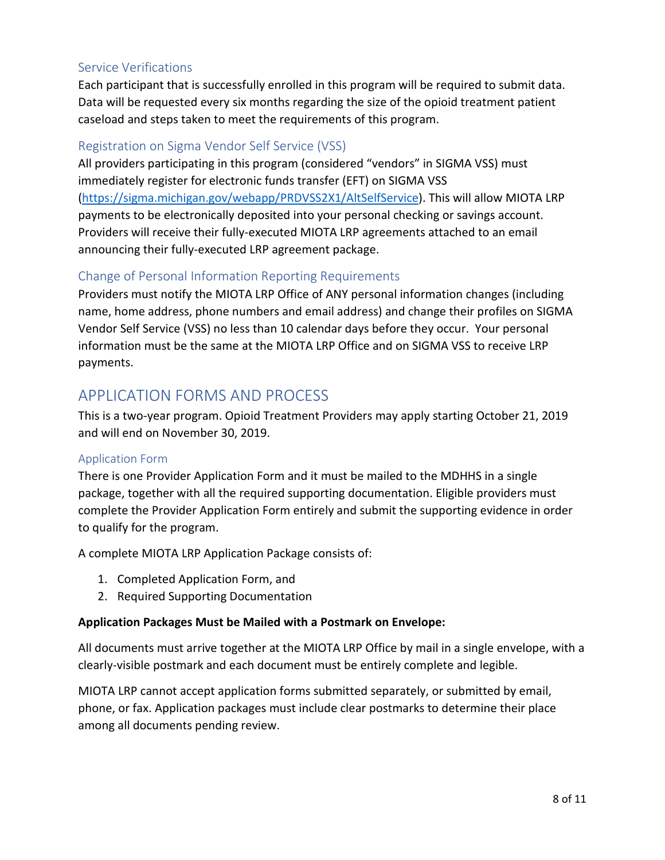## <span id="page-7-0"></span>Service Verifications

Each participant that is successfully enrolled in this program will be required to submit data. Data will be requested every six months regarding the size of the opioid treatment patient caseload and steps taken to meet the requirements of this program.

# <span id="page-7-1"></span>Registration on Sigma Vendor Self Service (VSS)

All providers participating in this program (considered "vendors" in SIGMA VSS) must immediately register for electronic funds transfer (EFT) on SIGMA VSS [\(https://sigma.michigan.gov/webapp/PRDVSS2X1/AltSelfService\)](https://sigma.michigan.gov/webapp/PRDVSS2X1/AltSelfService). This will allow MIOTA LRP payments to be electronically deposited into your personal checking or savings account. Providers will receive their fully-executed MIOTA LRP agreements attached to an email announcing their fully-executed LRP agreement package.

## <span id="page-7-2"></span>Change of Personal Information Reporting Requirements

Providers must notify the MIOTA LRP Office of ANY personal information changes (including name, home address, phone numbers and email address) and change their profiles on SIGMA Vendor Self Service (VSS) no less than 10 calendar days before they occur. Your personal information must be the same at the MIOTA LRP Office and on SIGMA VSS to receive LRP payments.

# <span id="page-7-3"></span>APPLICATION FORMS AND PROCESS

This is a two-year program. Opioid Treatment Providers may apply starting October 21, 2019 and will end on November 30, 2019.

#### <span id="page-7-4"></span>Application Form

There is one Provider Application Form and it must be mailed to the MDHHS in a single package, together with all the required supporting documentation. Eligible providers must complete the Provider Application Form entirely and submit the supporting evidence in order to qualify for the program.

A complete MIOTA LRP Application Package consists of:

- 1. Completed Application Form, and
- 2. Required Supporting Documentation

#### **Application Packages Must be Mailed with a Postmark on Envelope:**

All documents must arrive together at the MIOTA LRP Office by mail in a single envelope, with a clearly-visible postmark and each document must be entirely complete and legible.

MIOTA LRP cannot accept application forms submitted separately, or submitted by email, phone, or fax. Application packages must include clear postmarks to determine their place among all documents pending review.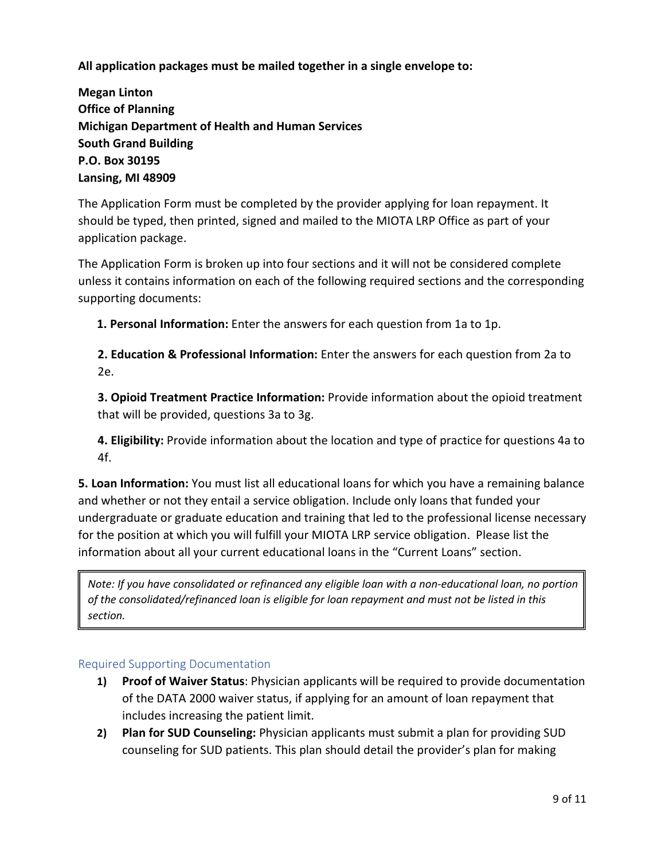**All application packages must be mailed together in a single envelope to:**

**Megan Linton Office of Planning Michigan Department of Health and Human Services South Grand Building P.O. Box 30195 Lansing, MI 48909**

The Application Form must be completed by the provider applying for loan repayment. It should be typed, then printed, signed and mailed to the MIOTA LRP Office as part of your application package.

The Application Form is broken up into four sections and it will not be considered complete unless it contains information on each of the following required sections and the corresponding supporting documents:

**1. Personal Information:** Enter the answers for each question from 1a to 1p.

**2. Education & Professional Information:** Enter the answers for each question from 2a to 2e.

**3. Opioid Treatment Practice Information:** Provide information about the opioid treatment that will be provided, questions 3a to 3g.

**4. Eligibility:** Provide information about the location and type of practice for questions 4a to 4f.

**5. Loan Information:** You must list all educational loans for which you have a remaining balance and whether or not they entail a service obligation. Include only loans that funded your undergraduate or graduate education and training that led to the professional license necessary for the position at which you will fulfill your MIOTA LRP service obligation. Please list the information about all your current educational loans in the "Current Loans" section.

*Note: If you have consolidated or refinanced any eligible loan with a non-educational loan, no portion of the consolidated/refinanced loan is eligible for loan repayment and must not be listed in this section.*

#### <span id="page-8-0"></span>Required Supporting Documentation

- **1) Proof of Waiver Status**: Physician applicants will be required to provide documentation of the DATA 2000 waiver status, if applying for an amount of loan repayment that includes increasing the patient limit.
- **2) Plan for SUD Counseling:** Physician applicants must submit a plan for providing SUD counseling for SUD patients. This plan should detail the provider's plan for making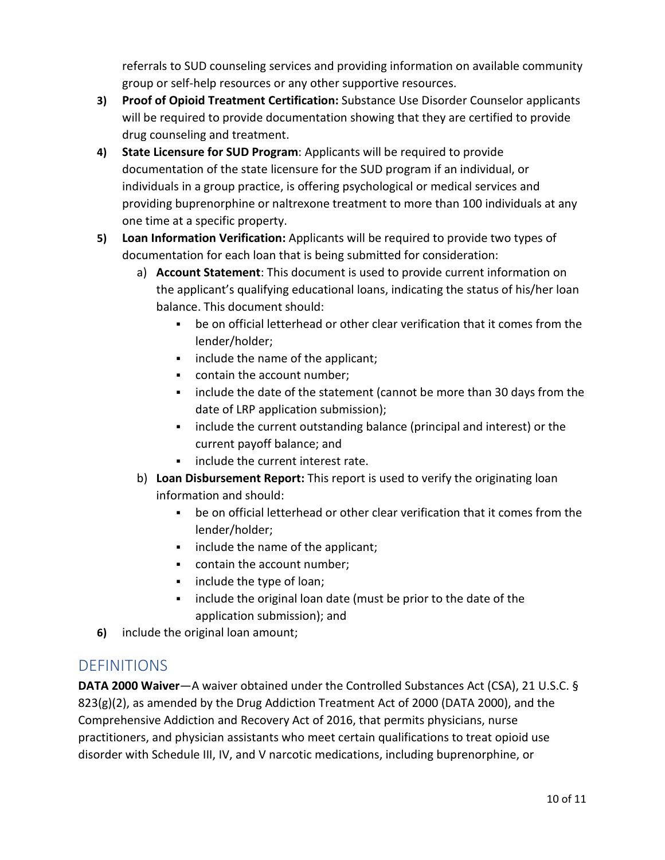referrals to SUD counseling services and providing information on available community group or self-help resources or any other supportive resources.

- **3) Proof of Opioid Treatment Certification:** Substance Use Disorder Counselor applicants will be required to provide documentation showing that they are certified to provide drug counseling and treatment.
- **4) State Licensure for SUD Program**: Applicants will be required to provide documentation of the state licensure for the SUD program if an individual, or individuals in a group practice, is offering psychological or medical services and providing buprenorphine or naltrexone treatment to more than 100 individuals at any one time at a specific property.
- **5) Loan Information Verification:** Applicants will be required to provide two types of documentation for each loan that is being submitted for consideration:
	- a) **Account Statement**: This document is used to provide current information on the applicant's qualifying educational loans, indicating the status of his/her loan balance. This document should:
		- be on official letterhead or other clear verification that it comes from the lender/holder;
		- **i** include the name of the applicant;
		- contain the account number;
		- include the date of the statement (cannot be more than 30 days from the date of LRP application submission);
		- **EXED** include the current outstanding balance (principal and interest) or the current payoff balance; and
		- **include the current interest rate.**
	- b) **Loan Disbursement Report:** This report is used to verify the originating loan information and should:
		- be on official letterhead or other clear verification that it comes from the lender/holder;
		- **i** include the name of the applicant;
		- contain the account number;
		- **i** include the type of loan;
		- include the original loan date (must be prior to the date of the application submission); and
- **6)** include the original loan amount;

# <span id="page-9-0"></span>**DEFINITIONS**

**DATA 2000 Waiver**—A waiver obtained under the Controlled Substances Act (CSA), 21 U.S.C. §  $823(g)(2)$ , as amended by the Drug Addiction Treatment Act of 2000 (DATA 2000), and the Comprehensive Addiction and Recovery Act of 2016, that permits physicians, nurse practitioners, and physician assistants who meet certain qualifications to treat opioid use disorder with Schedule III, IV, and V narcotic medications, including buprenorphine, or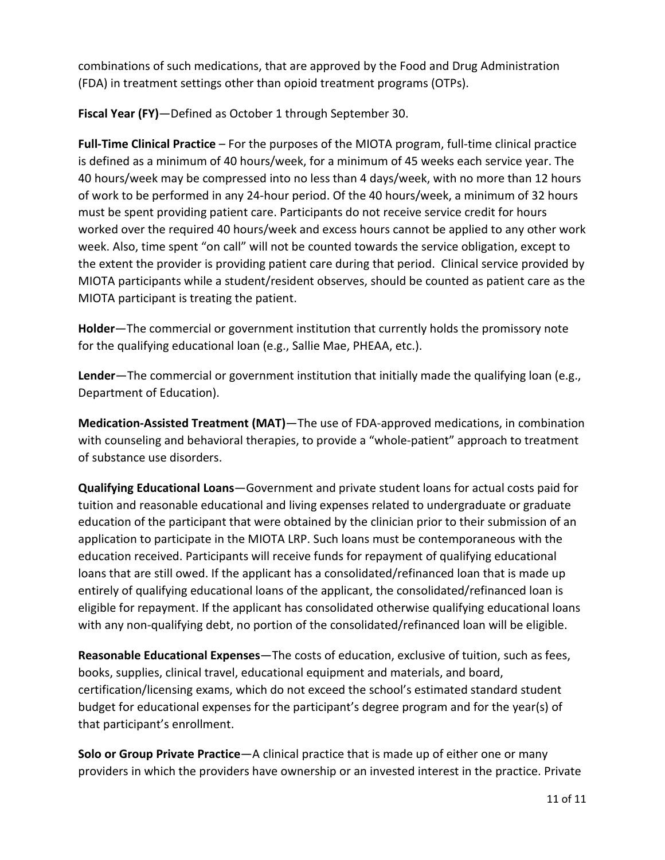combinations of such medications, that are approved by the Food and Drug Administration (FDA) in treatment settings other than opioid treatment programs (OTPs).

**Fiscal Year (FY)**—Defined as October 1 through September 30.

**Full-Time Clinical Practice** – For the purposes of the MIOTA program, full-time clinical practice is defined as a minimum of 40 hours/week, for a minimum of 45 weeks each service year. The 40 hours/week may be compressed into no less than 4 days/week, with no more than 12 hours of work to be performed in any 24-hour period. Of the 40 hours/week, a minimum of 32 hours must be spent providing patient care. Participants do not receive service credit for hours worked over the required 40 hours/week and excess hours cannot be applied to any other work week. Also, time spent "on call" will not be counted towards the service obligation, except to the extent the provider is providing patient care during that period. Clinical service provided by MIOTA participants while a student/resident observes, should be counted as patient care as the MIOTA participant is treating the patient.

**Holder**—The commercial or government institution that currently holds the promissory note for the qualifying educational loan (e.g., Sallie Mae, PHEAA, etc.).

**Lender**—The commercial or government institution that initially made the qualifying loan (e.g., Department of Education).

**Medication-Assisted Treatment (MAT)**—The use of FDA-approved medications, in combination with counseling and behavioral therapies, to provide a "whole-patient" approach to treatment of substance use disorders.

**Qualifying Educational Loans**—Government and private student loans for actual costs paid for tuition and reasonable educational and living expenses related to undergraduate or graduate education of the participant that were obtained by the clinician prior to their submission of an application to participate in the MIOTA LRP. Such loans must be contemporaneous with the education received. Participants will receive funds for repayment of qualifying educational loans that are still owed. If the applicant has a consolidated/refinanced loan that is made up entirely of qualifying educational loans of the applicant, the consolidated/refinanced loan is eligible for repayment. If the applicant has consolidated otherwise qualifying educational loans with any non-qualifying debt, no portion of the consolidated/refinanced loan will be eligible.

**Reasonable Educational Expenses**—The costs of education, exclusive of tuition, such as fees, books, supplies, clinical travel, educational equipment and materials, and board, certification/licensing exams, which do not exceed the school's estimated standard student budget for educational expenses for the participant's degree program and for the year(s) of that participant's enrollment.

**Solo or Group Private Practice**—A clinical practice that is made up of either one or many providers in which the providers have ownership or an invested interest in the practice. Private